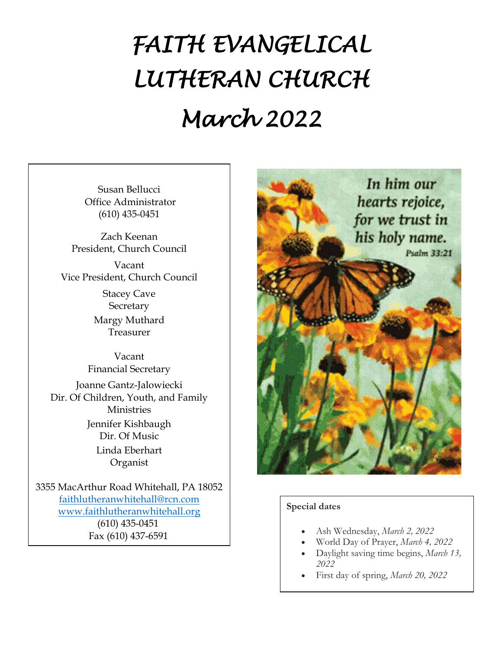# *FAITH EVANGELICAL LUTHERAN CHURCH March 2022*

Susan Bellucci Office Administrator (610) 435-0451

Zach Keenan President, Church Council

Vacant Vice President, Church Council

> Stacey Cave **Secretary** Margy Muthard Treasurer

Vacant Financial Secretary

Joanne Gantz-Jalowiecki Dir. Of Children, Youth, and Family Ministries Jennifer Kishbaugh Dir. Of Music Linda Eberhart Organist

3355 MacArthur Road Whitehall, PA 18052 [faithlutheranwhitehall@rcn.com](mailto:faithlutheranwhitehall@rcn.com) [www.faithlutheranwhitehall.org](http://www.faithlutheranwhitehall.org/) (610) 435-0451 Fax (610) 437-6591



#### **Special dates**

- Ash Wednesday, *March 2, 2022*
- World Day of Prayer, *March 4, 2022*
- Daylight saving time begins, *March 13, 2022*
- First day of spring, *March 20, 2022*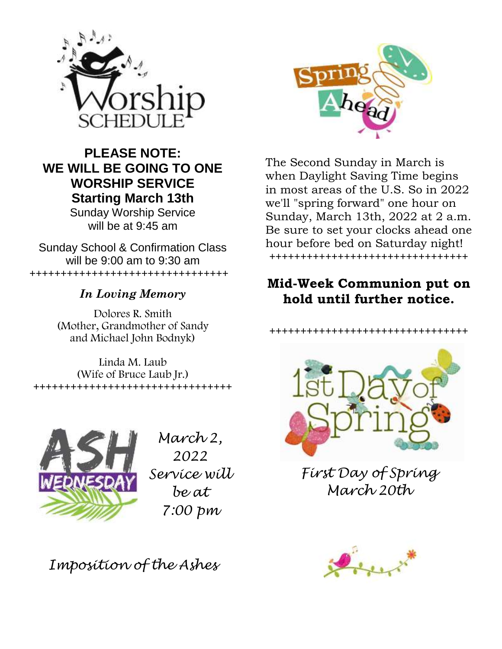

## **PLEASE NOTE: WE WILL BE GOING TO ONE WORSHIP SERVICE Starting March 13th**

Sunday Worship Service will be at 9:45 am

Sunday School & Confirmation Class will be 9:00 am to 9:30 am ++++++++++++++++++++++++++++++++

### *In Loving Memory*

Dolores R. Smith (Mother, Grandmother of Sandy and Michael John Bodnyk)

Linda M. Laub (Wife of Bruce Laub Jr.) ++++++++++++++++++++++++++++++++



*March 2, 2022 Service will be at 7:00 pm*

*Imposition of the Ashes*



The Second Sunday in March is when Daylight Saving Time begins in most areas of the U.S. So in 2022 we'll "spring forward" one hour on Sunday, March 13th, 2022 at 2 a.m. Be sure to set your clocks ahead one hour before bed on Saturday night! ++++++++++++++++++++++++++++++++

### **Mid-Week Communion put on hold until further notice.**

++++++++++++++++++++++++++++++++



*First Day of Spring March 20th*

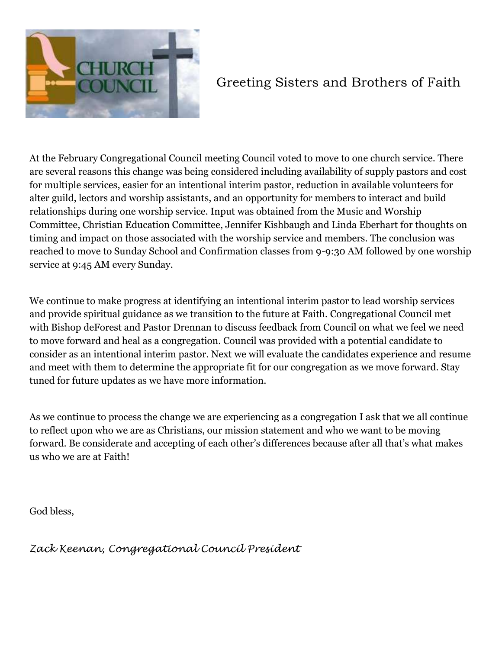

## Greeting Sisters and Brothers of Faith

At the February Congregational Council meeting Council voted to move to one church service. There are several reasons this change was being considered including availability of supply pastors and cost for multiple services, easier for an intentional interim pastor, reduction in available volunteers for alter guild, lectors and worship assistants, and an opportunity for members to interact and build relationships during one worship service. Input was obtained from the Music and Worship Committee, Christian Education Committee, Jennifer Kishbaugh and Linda Eberhart for thoughts on timing and impact on those associated with the worship service and members. The conclusion was reached to move to Sunday School and Confirmation classes from 9-9:30 AM followed by one worship service at 9:45 AM every Sunday.

We continue to make progress at identifying an intentional interim pastor to lead worship services and provide spiritual guidance as we transition to the future at Faith. Congregational Council met with Bishop deForest and Pastor Drennan to discuss feedback from Council on what we feel we need to move forward and heal as a congregation. Council was provided with a potential candidate to consider as an intentional interim pastor. Next we will evaluate the candidates experience and resume and meet with them to determine the appropriate fit for our congregation as we move forward. Stay tuned for future updates as we have more information.

As we continue to process the change we are experiencing as a congregation I ask that we all continue to reflect upon who we are as Christians, our mission statement and who we want to be moving forward. Be considerate and accepting of each other's differences because after all that's what makes us who we are at Faith!

God bless,

*Zack Keenan, Congregational Council President*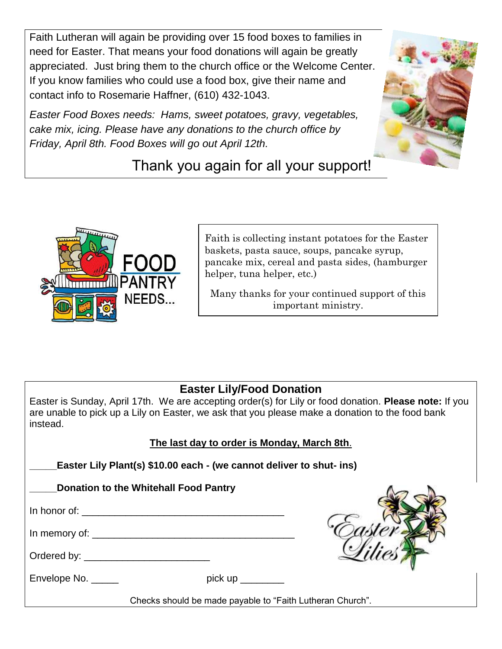Faith Lutheran will again be providing over 15 food boxes to families in need for Easter. That means your food donations will again be greatly appreciated. Just bring them to the church office or the Welcome Center. If you know families who could use a food box, give their name and contact info to Rosemarie Haffner, (610) 432-1043.

*Easter Food Boxes needs: Hams, sweet potatoes, gravy, vegetables, cake mix, icing. Please have any donations to the church office by Friday, April 8th. Food Boxes will go out April 12th.* 



# Thank you again for all your support!



Faith is collecting instant potatoes for the Easter baskets, pasta sauce, soups, pancake syrup, pancake mix, cereal and pasta sides, (hamburger helper, tuna helper, etc.)

Many thanks for your continued support of this important ministry.

#### **Easter Lily/Food Donation**

Easter is Sunday, April 17th. We are accepting order(s) for Lily or food donation. **Please note:** If you are unable to pick up a Lily on Easter, we ask that you please make a donation to the food bank instead.

| The last day to order is Monday, March 8th. |
|---------------------------------------------|
|---------------------------------------------|

**\_\_\_\_\_Easter Lily Plant(s) \$10.00 each - (we cannot deliver to shut- ins)** 

| _Donation to the Whitehall Food Pantry |  |  |
|----------------------------------------|--|--|
|----------------------------------------|--|--|

In honor of:  $\overline{\phantom{a}}$ 

In memory of:

| Ordered by: |  |
|-------------|--|
|             |  |

Envelope No. \_\_\_\_\_\_ pick up \_\_\_\_\_\_\_



Checks should be made payable to "Faith Lutheran Church".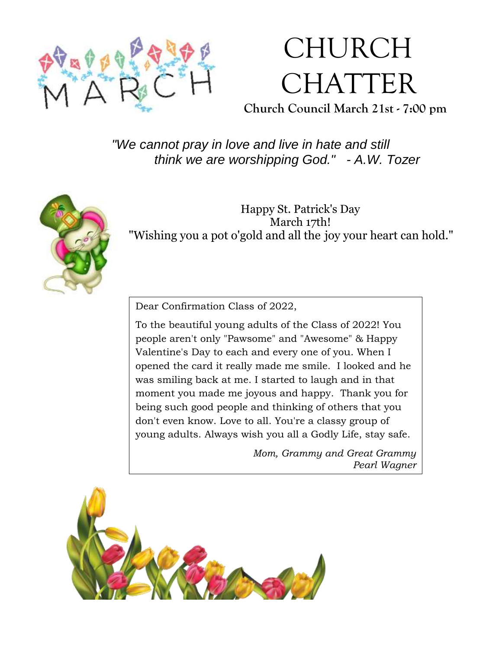

# CHURCH CHATTER

**Church Council March 21st - 7:00 pm**

*"We cannot pray in love and live in hate and still think we are worshipping God." - A.W. Tozer*



Happy St. Patrick's Day March 17th! "Wishing you a pot o'gold and all the joy your heart can hold."

Dear Confirmation Class of 2022,

To the beautiful young adults of the Class of 2022! You people aren't only "Pawsome" and "Awesome" & Happy Valentine's Day to each and every one of you. When I opened the card it really made me smile. I looked and he was smiling back at me. I started to laugh and in that moment you made me joyous and happy. Thank you for being such good people and thinking of others that you don't even know. Love to all. You're a classy group of young adults. Always wish you all a Godly Life, stay safe.

> *Mom, Grammy and Great Grammy Pearl Wagner*

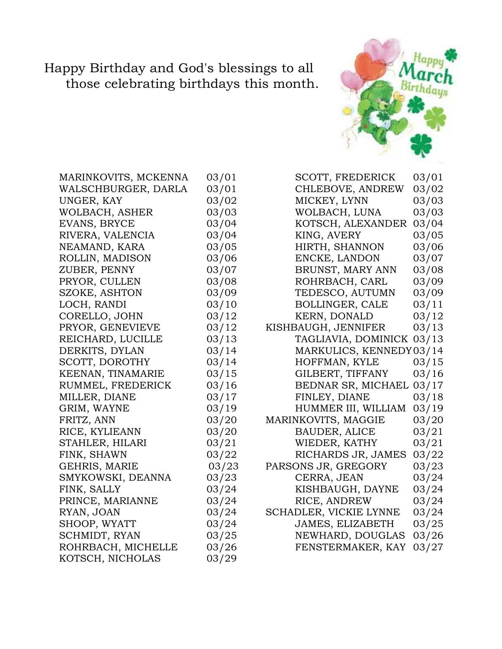### Happy Birthday and God's blessings to all those celebrating birthdays this month.



| WALSCHBURGER, DARLA<br>UNGER, KAY<br>WOLBACH, ASHER<br>EVANS, BRYCE<br>RIVERA, VALENCIA<br>NEAMAND, KARA<br>ROLLIN, MADISON<br>ZUBER, PENNY<br>PRYOR, CULLEN<br>SZOKE, ASHTON<br>LOCH, RANDI<br>CORELLO, JOHN<br>PRYOR, GENEVIEVE<br>REICHARD, LUCILLE | 03/01<br>03/02<br>03/03<br>03/04<br>03/04<br>03/05<br>03/06<br>03/07<br>03/08<br>03/09<br>03/10<br>03/12<br>03/12<br>03/13 |
|--------------------------------------------------------------------------------------------------------------------------------------------------------------------------------------------------------------------------------------------------------|----------------------------------------------------------------------------------------------------------------------------|
|                                                                                                                                                                                                                                                        |                                                                                                                            |
|                                                                                                                                                                                                                                                        |                                                                                                                            |
|                                                                                                                                                                                                                                                        |                                                                                                                            |
|                                                                                                                                                                                                                                                        |                                                                                                                            |
|                                                                                                                                                                                                                                                        |                                                                                                                            |
|                                                                                                                                                                                                                                                        |                                                                                                                            |
|                                                                                                                                                                                                                                                        |                                                                                                                            |
|                                                                                                                                                                                                                                                        |                                                                                                                            |
|                                                                                                                                                                                                                                                        |                                                                                                                            |
|                                                                                                                                                                                                                                                        |                                                                                                                            |
|                                                                                                                                                                                                                                                        |                                                                                                                            |
|                                                                                                                                                                                                                                                        |                                                                                                                            |
|                                                                                                                                                                                                                                                        |                                                                                                                            |
|                                                                                                                                                                                                                                                        |                                                                                                                            |
| DERKITS, DYLAN                                                                                                                                                                                                                                         | 03/14                                                                                                                      |
| SCOTT, DOROTHY                                                                                                                                                                                                                                         | 03/14                                                                                                                      |
| KEENAN, TINAMARIE                                                                                                                                                                                                                                      | 03/15                                                                                                                      |
| RUMMEL, FREDERICK                                                                                                                                                                                                                                      | 03/16                                                                                                                      |
| MILLER, DIANE                                                                                                                                                                                                                                          | 03/17                                                                                                                      |
| GRIM, WAYNE                                                                                                                                                                                                                                            | 03/19                                                                                                                      |
| FRITZ, ANN                                                                                                                                                                                                                                             | 03/20                                                                                                                      |
| RICE, KYLIEANN                                                                                                                                                                                                                                         | 03/20                                                                                                                      |
| STAHLER, HILARI                                                                                                                                                                                                                                        | 03/21                                                                                                                      |
| FINK, SHAWN                                                                                                                                                                                                                                            | 03/22                                                                                                                      |
| GEHRIS, MARIE                                                                                                                                                                                                                                          | 03/23                                                                                                                      |
| SMYKOWSKI, DEANNA                                                                                                                                                                                                                                      | 03/23                                                                                                                      |
| FINK, SALLY                                                                                                                                                                                                                                            | 03/24                                                                                                                      |
| PRINCE, MARIANNE                                                                                                                                                                                                                                       | 03/24                                                                                                                      |
| RYAN, JOAN                                                                                                                                                                                                                                             | 03/24                                                                                                                      |
| SHOOP, WYATT                                                                                                                                                                                                                                           | 03/24                                                                                                                      |
| SCHMIDT, RYAN                                                                                                                                                                                                                                          | 03/25                                                                                                                      |
| ROHRBACH, MICHELLE                                                                                                                                                                                                                                     | 03/26                                                                                                                      |
| KOTSCH, NICHOLAS                                                                                                                                                                                                                                       | 03/29                                                                                                                      |

| MARINKOVITS, MCKENNA | 03/01 | <b>SCOTT, FREDERICK</b> | 03/01 |
|----------------------|-------|-------------------------|-------|
| WALSCHBURGER, DARLA  | 03/01 | CHLEBOVE, ANDREW        | 03/02 |
| UNGER, KAY           | 03/02 | MICKEY, LYNN            | 03/03 |
| WOLBACH, ASHER       | 03/03 | WOLBACH, LUNA           | 03/03 |
| EVANS, BRYCE         | 03/04 | KOTSCH, ALEXANDER       | 03/04 |
| RIVERA, VALENCIA     | 03/04 | KING, AVERY             | 03/05 |
| NEAMAND, KARA        | 03/05 | HIRTH, SHANNON          | 03/06 |
| ROLLIN, MADISON      | 03/06 | ENCKE, LANDON           | 03/07 |
| ZUBER, PENNY         | 03/07 | BRUNST, MARY ANN        | 03/08 |
| PRYOR, CULLEN        | 03/08 | ROHRBACH, CARL          | 03/09 |
| SZOKE, ASHTON        | 03/09 | TEDESCO, AUTUMN         | 03/09 |
| LOCH, RANDI          | 03/10 | <b>BOLLINGER, CALE</b>  | 03/11 |
| CORELLO, JOHN        | 03/12 | KERN, DONALD            | 03/12 |
| PRYOR, GENEVIEVE     | 03/12 | KISHBAUGH, JENNIFER     | 03/13 |
| REICHARD, LUCILLE    | 03/13 | TAGLIAVIA, DOMINICK     | 03/13 |
| DERKITS, DYLAN       | 03/14 | MARKULICS, KENNEDY03/14 |       |
| SCOTT, DOROTHY       | 03/14 | HOFFMAN, KYLE           | 03/15 |
| KEENAN, TINAMARIE    | 03/15 | GILBERT, TIFFANY        | 03/16 |
| RUMMEL, FREDERICK    | 03/16 | BEDNAR SR, MICHAEL      | 03/17 |
| MILLER, DIANE        | 03/17 | FINLEY, DIANE           | 03/18 |
| GRIM, WAYNE          | 03/19 | HUMMER III, WILLIAM     | 03/19 |
| FRITZ, ANN           | 03/20 | MARINKOVITS, MAGGIE     | 03/20 |
| RICE, KYLIEANN       | 03/20 | <b>BAUDER, ALICE</b>    | 03/21 |
| STAHLER, HILARI      | 03/21 | WIEDER, KATHY           | 03/21 |
| FINK, SHAWN          | 03/22 | RICHARDS JR, JAMES      | 03/22 |
| GEHRIS, MARIE        | 03/23 | PARSONS JR, GREGORY     | 03/23 |
| SMYKOWSKI, DEANNA    | 03/23 | CERRA, JEAN             | 03/24 |
| FINK, SALLY          | 03/24 | KISHBAUGH, DAYNE        | 03/24 |
| PRINCE, MARIANNE     | 03/24 | RICE, ANDREW            | 03/24 |
| RYAN, JOAN           | 03/24 | SCHADLER, VICKIE LYNNE  | 03/24 |
| SHOOP, WYATT         | 03/24 | <b>JAMES, ELIZABETH</b> | 03/25 |
| SCHMIDT, RYAN        | 03/25 | NEWHARD, DOUGLAS        | 03/26 |
| ROHRBACH, MICHELLE   | 03/26 | FENSTERMAKER, KAY       | 03/27 |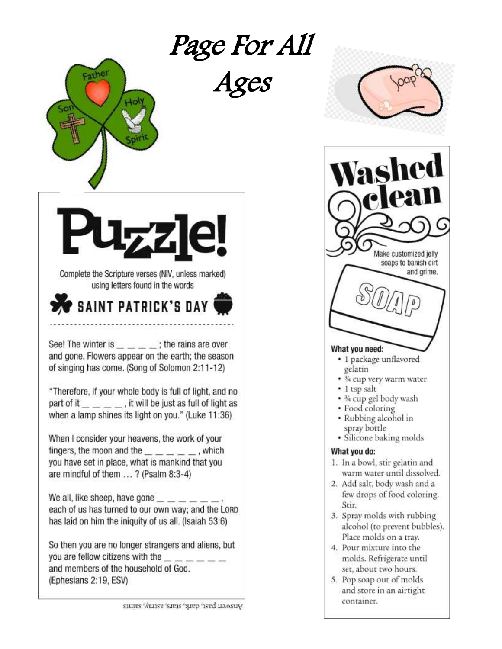# Page For All



Ages



So then you are no longer strangers and aliens, but you are fellow citizens with the and members of the household of God. (Ephesians 2:19, ESV)

as Make customized jelly soaps to banish dirt and grime. What you need: · 1 package unflavored gelatin

- *M* cup very warm water
- · 1 tsp salt
- . 3/4 cup gel body wash
- Food coloring
- Rubbing alcohol in spray bottle
- · Silicone baking molds

#### What you do:

- 1. In a bowl, stir gelatin and warm water until dissolved.
- 2. Add salt, body wash and a few drops of food coloring. Stir.
- 3. Spray molds with rubbing alcohol (to prevent bubbles). Place molds on a tray.
- 4. Pour mixture into the molds. Refrigerate until set, about two hours.
- 5. Pop soap out of molds and store in an airtight container.

Amswer: past, datk, stars, artisty, samts